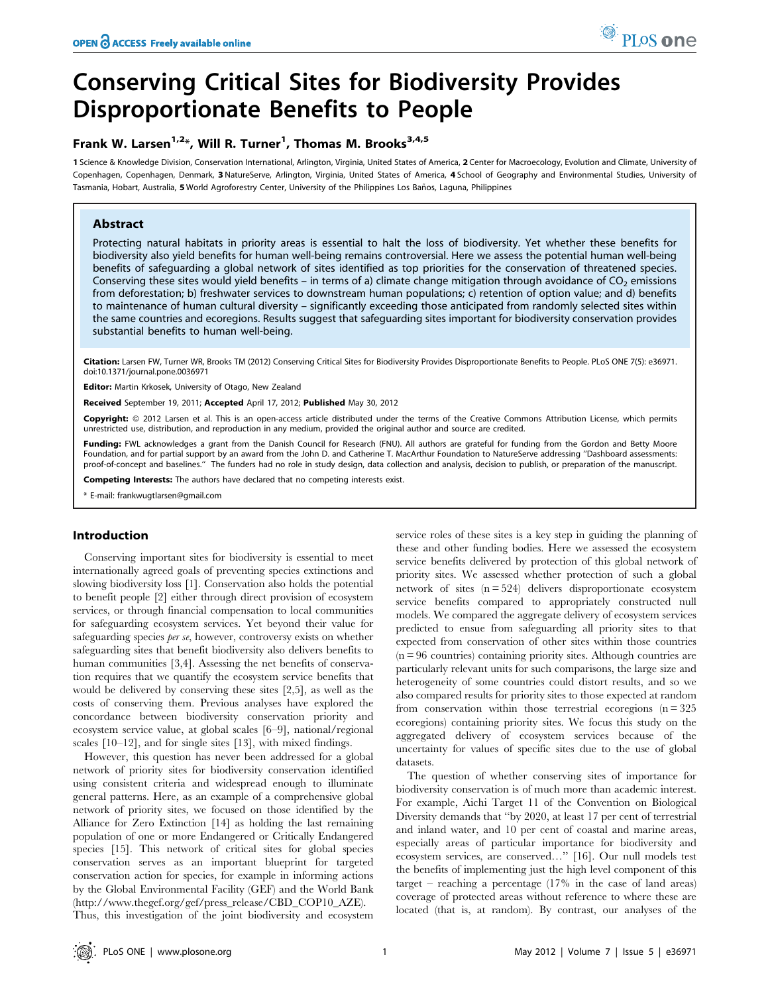# Conserving Critical Sites for Biodiversity Provides Disproportionate Benefits to People

## Frank W. Larsen<sup>1,2\*</sup>, Will R. Turner<sup>1</sup>, Thomas M. Brooks<sup>3,4,5</sup>

1 Science & Knowledge Division, Conservation International, Arlington, Virginia, United States of America, 2 Center for Macroecology, Evolution and Climate, University of Copenhagen, Copenhagen, Denmark, 3 NatureServe, Arlington, Virginia, United States of America, 4 School of Geography and Environmental Studies, University of Tasmania, Hobart, Australia, 5 World Agroforestry Center, University of the Philippines Los Baños, Laguna, Philippines

## Abstract

Protecting natural habitats in priority areas is essential to halt the loss of biodiversity. Yet whether these benefits for biodiversity also yield benefits for human well-being remains controversial. Here we assess the potential human well-being benefits of safeguarding a global network of sites identified as top priorities for the conservation of threatened species. Conserving these sites would yield benefits – in terms of a) climate change mitigation through avoidance of  $CO<sub>2</sub>$  emissions from deforestation; b) freshwater services to downstream human populations; c) retention of option value; and d) benefits to maintenance of human cultural diversity – significantly exceeding those anticipated from randomly selected sites within the same countries and ecoregions. Results suggest that safeguarding sites important for biodiversity conservation provides substantial benefits to human well-being.

Citation: Larsen FW, Turner WR, Brooks TM (2012) Conserving Critical Sites for Biodiversity Provides Disproportionate Benefits to People. PLoS ONE 7(5): e36971. doi:10.1371/journal.pone.0036971

Editor: Martin Krkosek, University of Otago, New Zealand

Received September 19, 2011; Accepted April 17, 2012; Published May 30, 2012

**Copyright:** © 2012 Larsen et al. This is an open-access article distributed under the terms of the Creative Commons Attribution License, which permits unrestricted use, distribution, and reproduction in any medium, provided the original author and source are credited.

Funding: FWL acknowledges a grant from the Danish Council for Research (FNU). All authors are grateful for funding from the Gordon and Betty Moore Foundation, and for partial support by an award from the John D. and Catherine T. MacArthur Foundation to NatureServe addressing ''Dashboard assessments: proof-of-concept and baselines.'' The funders had no role in study design, data collection and analysis, decision to publish, or preparation of the manuscript.

Competing Interests: The authors have declared that no competing interests exist.

\* E-mail: frankwugtlarsen@gmail.com

## Introduction

Conserving important sites for biodiversity is essential to meet internationally agreed goals of preventing species extinctions and slowing biodiversity loss [1]. Conservation also holds the potential to benefit people [2] either through direct provision of ecosystem services, or through financial compensation to local communities for safeguarding ecosystem services. Yet beyond their value for safeguarding species per se, however, controversy exists on whether safeguarding sites that benefit biodiversity also delivers benefits to human communities [3,4]. Assessing the net benefits of conservation requires that we quantify the ecosystem service benefits that would be delivered by conserving these sites [2,5], as well as the costs of conserving them. Previous analyses have explored the concordance between biodiversity conservation priority and ecosystem service value, at global scales [6–9], national/regional scales [10–12], and for single sites [13], with mixed findings.

However, this question has never been addressed for a global network of priority sites for biodiversity conservation identified using consistent criteria and widespread enough to illuminate general patterns. Here, as an example of a comprehensive global network of priority sites, we focused on those identified by the Alliance for Zero Extinction [14] as holding the last remaining population of one or more Endangered or Critically Endangered species [15]. This network of critical sites for global species conservation serves as an important blueprint for targeted conservation action for species, for example in informing actions by the Global Environmental Facility (GEF) and the World Bank (http://www.thegef.org/gef/press\_release/CBD\_COP10\_AZE). Thus, this investigation of the joint biodiversity and ecosystem service roles of these sites is a key step in guiding the planning of these and other funding bodies. Here we assessed the ecosystem service benefits delivered by protection of this global network of priority sites. We assessed whether protection of such a global network of sites  $(n = 524)$  delivers disproportionate ecosystem service benefits compared to appropriately constructed null models. We compared the aggregate delivery of ecosystem services predicted to ensue from safeguarding all priority sites to that expected from conservation of other sites within those countries  $(n = 96$  countries) containing priority sites. Although countries are particularly relevant units for such comparisons, the large size and heterogeneity of some countries could distort results, and so we also compared results for priority sites to those expected at random from conservation within those terrestrial ecoregions  $(n = 325)$ ecoregions) containing priority sites. We focus this study on the aggregated delivery of ecosystem services because of the uncertainty for values of specific sites due to the use of global datasets.

The question of whether conserving sites of importance for biodiversity conservation is of much more than academic interest. For example, Aichi Target 11 of the Convention on Biological Diversity demands that ''by 2020, at least 17 per cent of terrestrial and inland water, and 10 per cent of coastal and marine areas, especially areas of particular importance for biodiversity and ecosystem services, are conserved…'' [16]. Our null models test the benefits of implementing just the high level component of this target – reaching a percentage (17% in the case of land areas) coverage of protected areas without reference to where these are located (that is, at random). By contrast, our analyses of the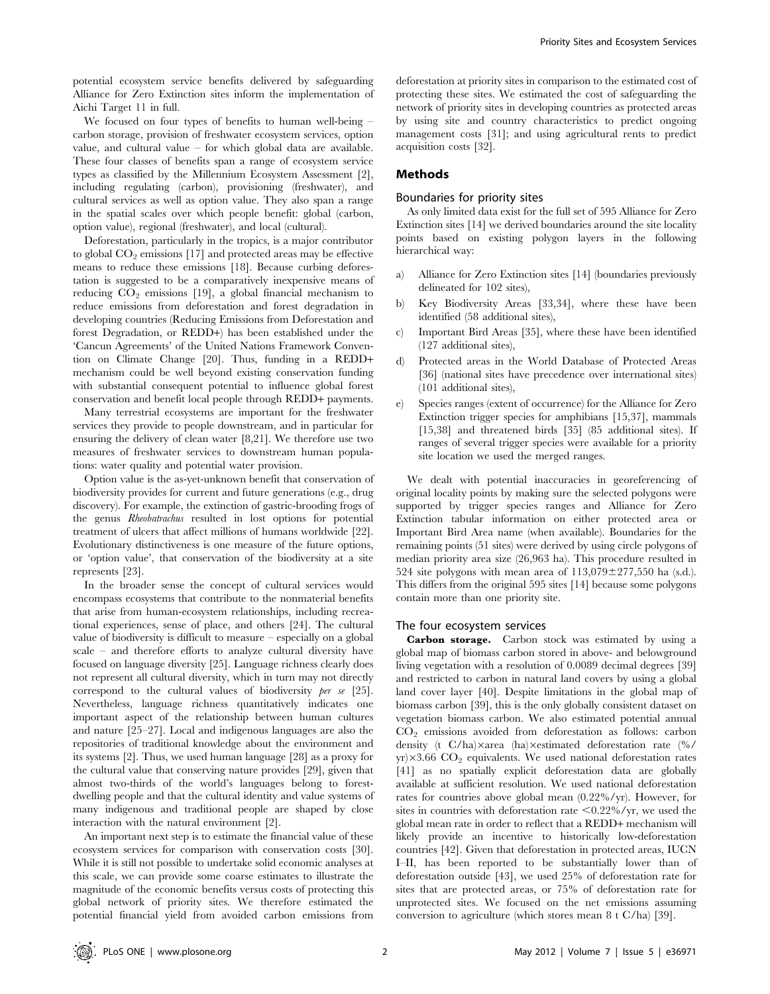potential ecosystem service benefits delivered by safeguarding Alliance for Zero Extinction sites inform the implementation of Aichi Target 11 in full.

We focused on four types of benefits to human well-being – carbon storage, provision of freshwater ecosystem services, option value, and cultural value – for which global data are available. These four classes of benefits span a range of ecosystem service types as classified by the Millennium Ecosystem Assessment [2], including regulating (carbon), provisioning (freshwater), and cultural services as well as option value. They also span a range in the spatial scales over which people benefit: global (carbon, option value), regional (freshwater), and local (cultural).

Deforestation, particularly in the tropics, is a major contributor to global  $CO<sub>2</sub>$  emissions [17] and protected areas may be effective means to reduce these emissions [18]. Because curbing deforestation is suggested to be a comparatively inexpensive means of reducing  $CO<sub>2</sub>$  emissions [19], a global financial mechanism to reduce emissions from deforestation and forest degradation in developing countries (Reducing Emissions from Deforestation and forest Degradation, or REDD+) has been established under the 'Cancun Agreements' of the United Nations Framework Convention on Climate Change [20]. Thus, funding in a REDD+ mechanism could be well beyond existing conservation funding with substantial consequent potential to influence global forest conservation and benefit local people through REDD+ payments.

Many terrestrial ecosystems are important for the freshwater services they provide to people downstream, and in particular for ensuring the delivery of clean water [8,21]. We therefore use two measures of freshwater services to downstream human populations: water quality and potential water provision.

Option value is the as-yet-unknown benefit that conservation of biodiversity provides for current and future generations (e.g., drug discovery). For example, the extinction of gastric-brooding frogs of the genus Rheobatrachus resulted in lost options for potential treatment of ulcers that affect millions of humans worldwide [22]. Evolutionary distinctiveness is one measure of the future options, or 'option value', that conservation of the biodiversity at a site represents [23].

In the broader sense the concept of cultural services would encompass ecosystems that contribute to the nonmaterial benefits that arise from human-ecosystem relationships, including recreational experiences, sense of place, and others [24]. The cultural value of biodiversity is difficult to measure – especially on a global scale – and therefore efforts to analyze cultural diversity have focused on language diversity [25]. Language richness clearly does not represent all cultural diversity, which in turn may not directly correspond to the cultural values of biodiversity *per se* [25]. Nevertheless, language richness quantitatively indicates one important aspect of the relationship between human cultures and nature [25–27]. Local and indigenous languages are also the repositories of traditional knowledge about the environment and its systems [2]. Thus, we used human language [28] as a proxy for the cultural value that conserving nature provides [29], given that almost two-thirds of the world's languages belong to forestdwelling people and that the cultural identity and value systems of many indigenous and traditional people are shaped by close interaction with the natural environment [2].

An important next step is to estimate the financial value of these ecosystem services for comparison with conservation costs [30]. While it is still not possible to undertake solid economic analyses at this scale, we can provide some coarse estimates to illustrate the magnitude of the economic benefits versus costs of protecting this global network of priority sites. We therefore estimated the potential financial yield from avoided carbon emissions from

deforestation at priority sites in comparison to the estimated cost of protecting these sites. We estimated the cost of safeguarding the network of priority sites in developing countries as protected areas by using site and country characteristics to predict ongoing management costs [31]; and using agricultural rents to predict acquisition costs [32].

#### Methods

#### Boundaries for priority sites

As only limited data exist for the full set of 595 Alliance for Zero Extinction sites [14] we derived boundaries around the site locality points based on existing polygon layers in the following hierarchical way:

- a) Alliance for Zero Extinction sites [14] (boundaries previously delineated for 102 sites),
- b) Key Biodiversity Areas [33,34], where these have been identified (58 additional sites),
- c) Important Bird Areas [35], where these have been identified (127 additional sites),
- d) Protected areas in the World Database of Protected Areas [36] (national sites have precedence over international sites) (101 additional sites),
- e) Species ranges (extent of occurrence) for the Alliance for Zero Extinction trigger species for amphibians [15,37], mammals [15,38] and threatened birds [35] (85 additional sites). If ranges of several trigger species were available for a priority site location we used the merged ranges.

We dealt with potential inaccuracies in georeferencing of original locality points by making sure the selected polygons were supported by trigger species ranges and Alliance for Zero Extinction tabular information on either protected area or Important Bird Area name (when available). Boundaries for the remaining points (51 sites) were derived by using circle polygons of median priority area size (26,963 ha). This procedure resulted in 524 site polygons with mean area of  $113,079\pm277,550$  ha (s.d.). This differs from the original 595 sites [14] because some polygons contain more than one priority site.

#### The four ecosystem services

Carbon storage. Carbon stock was estimated by using a global map of biomass carbon stored in above- and belowground living vegetation with a resolution of 0.0089 decimal degrees [39] and restricted to carbon in natural land covers by using a global land cover layer [40]. Despite limitations in the global map of biomass carbon [39], this is the only globally consistent dataset on vegetation biomass carbon. We also estimated potential annual  $CO<sub>2</sub>$  emissions avoided from deforestation as follows: carbon density (t C/ha)×area (ha)×estimated deforestation rate (%/  $yr\times3.66$  CO<sub>2</sub> equivalents. We used national deforestation rates [41] as no spatially explicit deforestation data are globally available at sufficient resolution. We used national deforestation rates for countries above global mean (0.22%/yr). However, for sites in countries with deforestation rate  $\langle 0.22\% / \text{yr} \rangle$ , we used the global mean rate in order to reflect that a REDD+ mechanism will likely provide an incentive to historically low-deforestation countries [42]. Given that deforestation in protected areas, IUCN I–II, has been reported to be substantially lower than of deforestation outside [43], we used 25% of deforestation rate for sites that are protected areas, or 75% of deforestation rate for unprotected sites. We focused on the net emissions assuming conversion to agriculture (which stores mean 8 t C/ha) [39].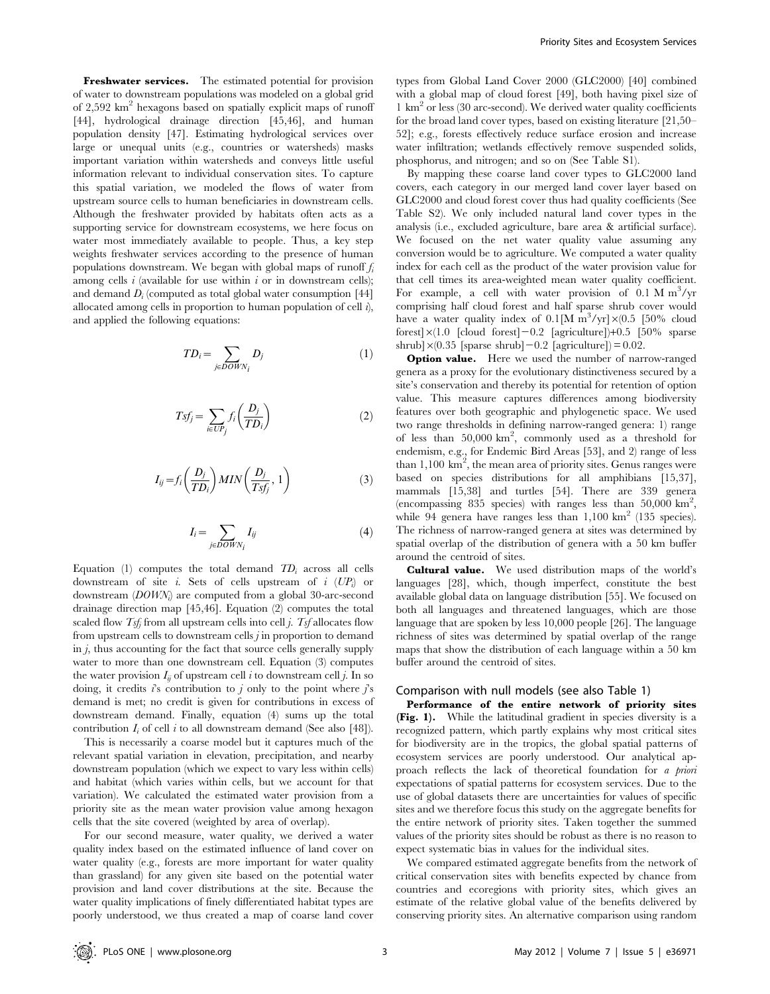Freshwater services. The estimated potential for provision of water to downstream populations was modeled on a global grid of 2,592  $km<sup>2</sup>$  hexagons based on spatially explicit maps of runoff [44], hydrological drainage direction [45,46], and human population density [47]. Estimating hydrological services over large or unequal units (e.g., countries or watersheds) masks important variation within watersheds and conveys little useful information relevant to individual conservation sites. To capture this spatial variation, we modeled the flows of water from upstream source cells to human beneficiaries in downstream cells. Although the freshwater provided by habitats often acts as a supporting service for downstream ecosystems, we here focus on water most immediately available to people. Thus, a key step weights freshwater services according to the presence of human populations downstream. We began with global maps of runoff  $f_i$ among cells  $i$  (available for use within  $i$  or in downstream cells); and demand  $D_i$  (computed as total global water consumption [44] allocated among cells in proportion to human population of cell  $i$ ), and applied the following equations:

$$
TD_i = \sum_{j \in DOWN_i} D_j \tag{1}
$$

$$
Tsf_j = \sum_{i \in UP_j} f_i \left(\frac{D_j}{TD_i}\right) \tag{2}
$$

$$
I_{ij} = f_i \left(\frac{D_j}{TD_i}\right) MIN\left(\frac{D_j}{Tsf_j}, 1\right)
$$
 (3)

$$
I_i = \sum_{j \in DOMN_i} I_{ij} \tag{4}
$$

Equation (1) computes the total demand  $TD_i$  across all cells downstream of site *i*. Sets of cells upstream of *i*  $(UP_i)$  or downstream (*DOWN*<sub>i</sub>) are computed from a global 30-arc-second drainage direction map [45,46]. Equation (2) computes the total scaled flow  $T_{\text{S}}f_i$  from all upstream cells into cell j. Tsf allocates flow from upstream cells to downstream cells  $j$  in proportion to demand in  $j$ , thus accounting for the fact that source cells generally supply water to more than one downstream cell. Equation (3) computes the water provision  $I_{ii}$  of upstream cell i to downstream cell j. In so doing, it credits is contribution to j only to the point where  $i$ 's demand is met; no credit is given for contributions in excess of downstream demand. Finally, equation (4) sums up the total contribution  $I_i$  of cell i to all downstream demand (See also [48]).

This is necessarily a coarse model but it captures much of the relevant spatial variation in elevation, precipitation, and nearby downstream population (which we expect to vary less within cells) and habitat (which varies within cells, but we account for that variation). We calculated the estimated water provision from a priority site as the mean water provision value among hexagon cells that the site covered (weighted by area of overlap).

For our second measure, water quality, we derived a water quality index based on the estimated influence of land cover on water quality (e.g., forests are more important for water quality than grassland) for any given site based on the potential water provision and land cover distributions at the site. Because the water quality implications of finely differentiated habitat types are poorly understood, we thus created a map of coarse land cover types from Global Land Cover 2000 (GLC2000) [40] combined with a global map of cloud forest [49], both having pixel size of  $1 \text{ km}^2$  or less (30 arc-second). We derived water quality coefficients for the broad land cover types, based on existing literature [21,50– 52]; e.g., forests effectively reduce surface erosion and increase water infiltration; wetlands effectively remove suspended solids, phosphorus, and nitrogen; and so on (See Table S1).

By mapping these coarse land cover types to GLC2000 land covers, each category in our merged land cover layer based on GLC2000 and cloud forest cover thus had quality coefficients (See Table S2). We only included natural land cover types in the analysis (i.e., excluded agriculture, bare area & artificial surface). We focused on the net water quality value assuming any conversion would be to agriculture. We computed a water quality index for each cell as the product of the water provision value for that cell times its area-weighted mean water quality coefficient. For example, a cell with water provision of  $0.1 \text{ M m}^3/\text{yr}$ comprising half cloud forest and half sparse shrub cover would have a water quality index of  $0.1$ [M m<sup>3</sup>/yr] $\times$ (0.5 [50% cloud forest  $\times$ (1.0 [cloud forest] -0.2 [agriculture])+0.5 [50% sparse shrub] $\times$ (0.35 [sparse shrub] -0.2 [agriculture]) = 0.02.

**Option value.** Here we used the number of narrow-ranged genera as a proxy for the evolutionary distinctiveness secured by a site's conservation and thereby its potential for retention of option value. This measure captures differences among biodiversity features over both geographic and phylogenetic space. We used two range thresholds in defining narrow-ranged genera: 1) range of less than 50,000 km2 , commonly used as a threshold for endemism, e.g., for Endemic Bird Areas [53], and 2) range of less than  $1,100 \text{ km}^2$ , the mean area of priority sites. Genus ranges were based on species distributions for all amphibians [15,37], mammals [15,38] and turtles [54]. There are 339 genera (encompassing  $835$  species) with ranges less than  $50,000$  km<sup>2</sup>, while 94 genera have ranges less than  $1,100 \text{ km}^2$  (135 species). The richness of narrow-ranged genera at sites was determined by spatial overlap of the distribution of genera with a 50 km buffer around the centroid of sites.

Cultural value. We used distribution maps of the world's languages [28], which, though imperfect, constitute the best available global data on language distribution [55]. We focused on both all languages and threatened languages, which are those language that are spoken by less 10,000 people [26]. The language richness of sites was determined by spatial overlap of the range maps that show the distribution of each language within a 50 km buffer around the centroid of sites.

## Comparison with null models (see also Table 1)

Performance of the entire network of priority sites (Fig. 1). While the latitudinal gradient in species diversity is a recognized pattern, which partly explains why most critical sites for biodiversity are in the tropics, the global spatial patterns of ecosystem services are poorly understood. Our analytical approach reflects the lack of theoretical foundation for a priori expectations of spatial patterns for ecosystem services. Due to the use of global datasets there are uncertainties for values of specific sites and we therefore focus this study on the aggregate benefits for the entire network of priority sites. Taken together the summed values of the priority sites should be robust as there is no reason to expect systematic bias in values for the individual sites.

We compared estimated aggregate benefits from the network of critical conservation sites with benefits expected by chance from countries and ecoregions with priority sites, which gives an estimate of the relative global value of the benefits delivered by conserving priority sites. An alternative comparison using random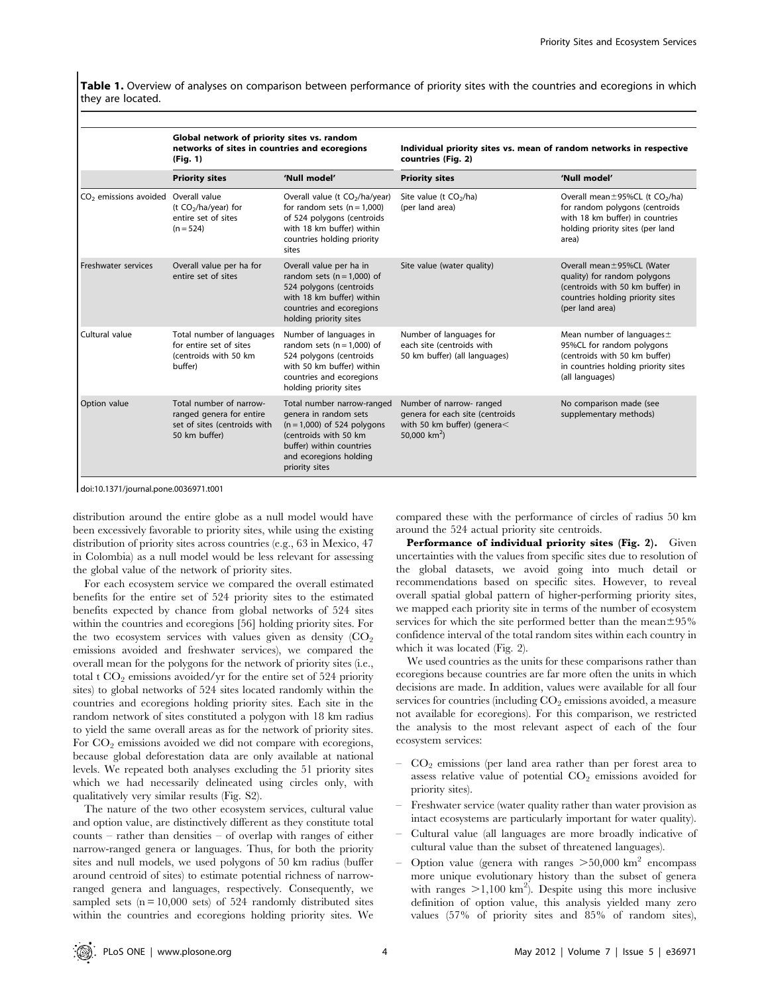Table 1. Overview of analyses on comparison between performance of priority sites with the countries and ecoregions in which they are located.

> Global network of priority sites vs. random networks of sites in countries and ecoregions (Fig. 1)

Individual priority sites vs. mean of random networks in respective countries (Fig. 2)

|                                                 | <b>Priority sites</b>                                                                                | 'Null model'                                                                                                                                                                           | <b>Priority sites</b>                                                                                                     | 'Null model'                                                                                                                                                  |
|-------------------------------------------------|------------------------------------------------------------------------------------------------------|----------------------------------------------------------------------------------------------------------------------------------------------------------------------------------------|---------------------------------------------------------------------------------------------------------------------------|---------------------------------------------------------------------------------------------------------------------------------------------------------------|
| CO <sub>2</sub> emissions avoided Overall value | (t CO <sub>2</sub> /ha/year) for<br>entire set of sites<br>$(n = 524)$                               | Overall value (t CO <sub>2</sub> /ha/year)<br>for random sets $(n = 1,000)$<br>of 524 polygons (centroids<br>with 18 km buffer) within<br>countries holding priority<br>sites          | Site value (t $CO2/ha$ )<br>(per land area)                                                                               | Overall mean ±95%CL (t CO <sub>2</sub> /ha)<br>for random polygons (centroids<br>with 18 km buffer) in countries<br>holding priority sites (per land<br>area) |
| Freshwater services                             | Overall value per ha for<br>entire set of sites                                                      | Overall value per ha in<br>random sets ( $n = 1,000$ ) of<br>524 polygons (centroids<br>with 18 km buffer) within<br>countries and ecoregions<br>holding priority sites                | Site value (water quality)                                                                                                | Overall mean ±95%CL (Water<br>quality) for random polygons<br>(centroids with 50 km buffer) in<br>countries holding priority sites<br>(per land area)         |
| Cultural value                                  | Total number of languages<br>for entire set of sites<br>(centroids with 50 km)<br>buffer)            | Number of languages in<br>random sets ( $n = 1,000$ ) of<br>524 polygons (centroids<br>with 50 km buffer) within<br>countries and ecoregions<br>holding priority sites                 | Number of languages for<br>each site (centroids with<br>50 km buffer) (all languages)                                     | Mean number of languages $\pm$<br>95%CL for random polygons<br>(centroids with 50 km buffer)<br>in countries holding priority sites<br>(all languages)        |
| Option value                                    | Total number of narrow-<br>ranged genera for entire<br>set of sites (centroids with<br>50 km buffer) | Total number narrow-ranged<br>genera in random sets<br>$(n = 1,000)$ of 524 polygons<br>(centroids with 50 km)<br>buffer) within countries<br>and ecoregions holding<br>priority sites | Number of narrow- ranged<br>genera for each site (centroids<br>with 50 km buffer) (genera $<$<br>50,000 km <sup>2</sup> ) | No comparison made (see<br>supplementary methods)                                                                                                             |

doi:10.1371/journal.pone.0036971.t001

distribution around the entire globe as a null model would have been excessively favorable to priority sites, while using the existing distribution of priority sites across countries (e.g., 63 in Mexico, 47 in Colombia) as a null model would be less relevant for assessing the global value of the network of priority sites.

For each ecosystem service we compared the overall estimated benefits for the entire set of 524 priority sites to the estimated benefits expected by chance from global networks of 524 sites within the countries and ecoregions [56] holding priority sites. For the two ecosystem services with values given as density  $(CO<sub>2</sub>)$ emissions avoided and freshwater services), we compared the overall mean for the polygons for the network of priority sites (i.e., total t  $CO<sub>2</sub>$  emissions avoided/yr for the entire set of 524 priority sites) to global networks of 524 sites located randomly within the countries and ecoregions holding priority sites. Each site in the random network of sites constituted a polygon with 18 km radius to yield the same overall areas as for the network of priority sites. For  $CO<sub>2</sub>$  emissions avoided we did not compare with ecoregions, because global deforestation data are only available at national levels. We repeated both analyses excluding the 51 priority sites which we had necessarily delineated using circles only, with qualitatively very similar results (Fig. S2).

The nature of the two other ecosystem services, cultural value and option value, are distinctively different as they constitute total counts – rather than densities – of overlap with ranges of either narrow-ranged genera or languages. Thus, for both the priority sites and null models, we used polygons of 50 km radius (buffer around centroid of sites) to estimate potential richness of narrowranged genera and languages, respectively. Consequently, we sampled sets  $(n = 10,000 \text{ sets})$  of 524 randomly distributed sites within the countries and ecoregions holding priority sites. We

compared these with the performance of circles of radius 50 km around the 524 actual priority site centroids.

Performance of individual priority sites (Fig. 2). Given uncertainties with the values from specific sites due to resolution of the global datasets, we avoid going into much detail or recommendations based on specific sites. However, to reveal overall spatial global pattern of higher-performing priority sites, we mapped each priority site in terms of the number of ecosystem services for which the site performed better than the mean $\pm 95\%$ confidence interval of the total random sites within each country in which it was located (Fig. 2).

We used countries as the units for these comparisons rather than ecoregions because countries are far more often the units in which decisions are made. In addition, values were available for all four services for countries (including  $CO<sub>2</sub>$  emissions avoided, a measure not available for ecoregions). For this comparison, we restricted the analysis to the most relevant aspect of each of the four ecosystem services:

- $CO<sub>2</sub>$  emissions (per land area rather than per forest area to assess relative value of potential  $CO<sub>2</sub>$  emissions avoided for priority sites).
- Freshwater service (water quality rather than water provision as intact ecosystems are particularly important for water quality).
- Cultural value (all languages are more broadly indicative of cultural value than the subset of threatened languages).
- Option value (genera with ranges  $>50,000$  km<sup>2</sup> encompass more unique evolutionary history than the subset of genera with ranges  $>1,100$  km<sup>2</sup>). Despite using this more inclusive definition of option value, this analysis yielded many zero values (57% of priority sites and 85% of random sites),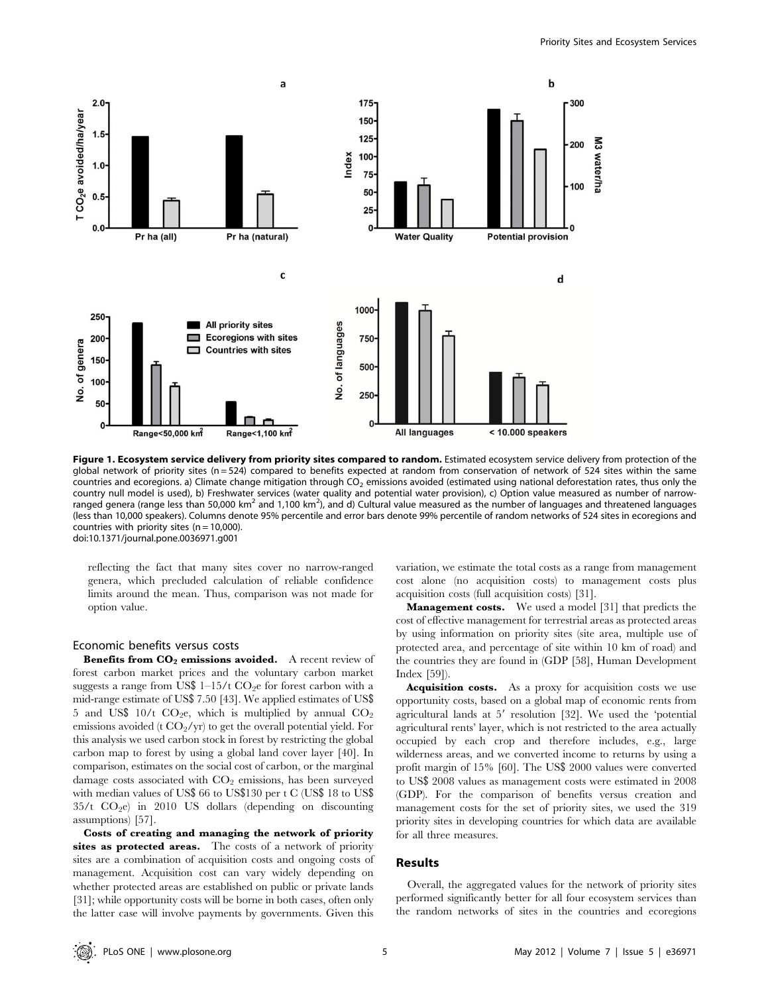

Figure 1. Ecosystem service delivery from priority sites compared to random. Estimated ecosystem service delivery from protection of the global network of priority sites (n = 524) compared to benefits expected at random from conservation of network of 524 sites within the same countries and ecoregions. a) Climate change mitigation through  $CO<sub>2</sub>$  emissions avoided (estimated using national deforestation rates, thus only the country null model is used), b) Freshwater services (water quality and potential water provision), c) Option value measured as number of narrowranged genera (range less than 50,000 km<sup>2</sup> and 1,100 km<sup>2</sup>), and d) Cultural value measured as the number of languages and threatened languages (less than 10,000 speakers). Columns denote 95% percentile and error bars denote 99% percentile of random networks of 524 sites in ecoregions and countries with priority sites  $(n = 10.000)$ . doi:10.1371/journal.pone.0036971.g001

reflecting the fact that many sites cover no narrow-ranged genera, which precluded calculation of reliable confidence limits around the mean. Thus, comparison was not made for option value.

#### Economic benefits versus costs

Benefits from  $CO<sub>2</sub>$  emissions avoided. A recent review of forest carbon market prices and the voluntary carbon market suggests a range from US\$ 1–15/t  $CO<sub>2</sub>e$  for forest carbon with a mid-range estimate of US\$ 7.50 [43]. We applied estimates of US\$ 5 and US\$ 10/t CO<sub>2</sub>e, which is multiplied by annual  $CO<sub>2</sub>$ emissions avoided (t $\mathrm{CO}_2/\mathrm{yr})$  to get the overall potential yield. For this analysis we used carbon stock in forest by restricting the global carbon map to forest by using a global land cover layer [40]. In comparison, estimates on the social cost of carbon, or the marginal damage costs associated with  $CO<sub>2</sub>$  emissions, has been surveyed with median values of US\$ 66 to US\$130 per t C (US\$ 18 to US\$  $35/t$  CO<sub>2</sub>e) in 2010 US dollars (depending on discounting assumptions) [57].

Costs of creating and managing the network of priority sites as protected areas. The costs of a network of priority sites are a combination of acquisition costs and ongoing costs of management. Acquisition cost can vary widely depending on whether protected areas are established on public or private lands [31]; while opportunity costs will be borne in both cases, often only the latter case will involve payments by governments. Given this variation, we estimate the total costs as a range from management cost alone (no acquisition costs) to management costs plus acquisition costs (full acquisition costs) [31].

Management costs. We used a model [31] that predicts the cost of effective management for terrestrial areas as protected areas by using information on priority sites (site area, multiple use of protected area, and percentage of site within 10 km of road) and the countries they are found in (GDP [58], Human Development Index [59]).

Acquisition costs. As a proxy for acquisition costs we use opportunity costs, based on a global map of economic rents from agricultural lands at 5' resolution [32]. We used the 'potential agricultural rents' layer, which is not restricted to the area actually occupied by each crop and therefore includes, e.g., large wilderness areas, and we converted income to returns by using a profit margin of 15% [60]. The US\$ 2000 values were converted to US\$ 2008 values as management costs were estimated in 2008 (GDP). For the comparison of benefits versus creation and management costs for the set of priority sites, we used the 319 priority sites in developing countries for which data are available for all three measures.

## Results

Overall, the aggregated values for the network of priority sites performed significantly better for all four ecosystem services than the random networks of sites in the countries and ecoregions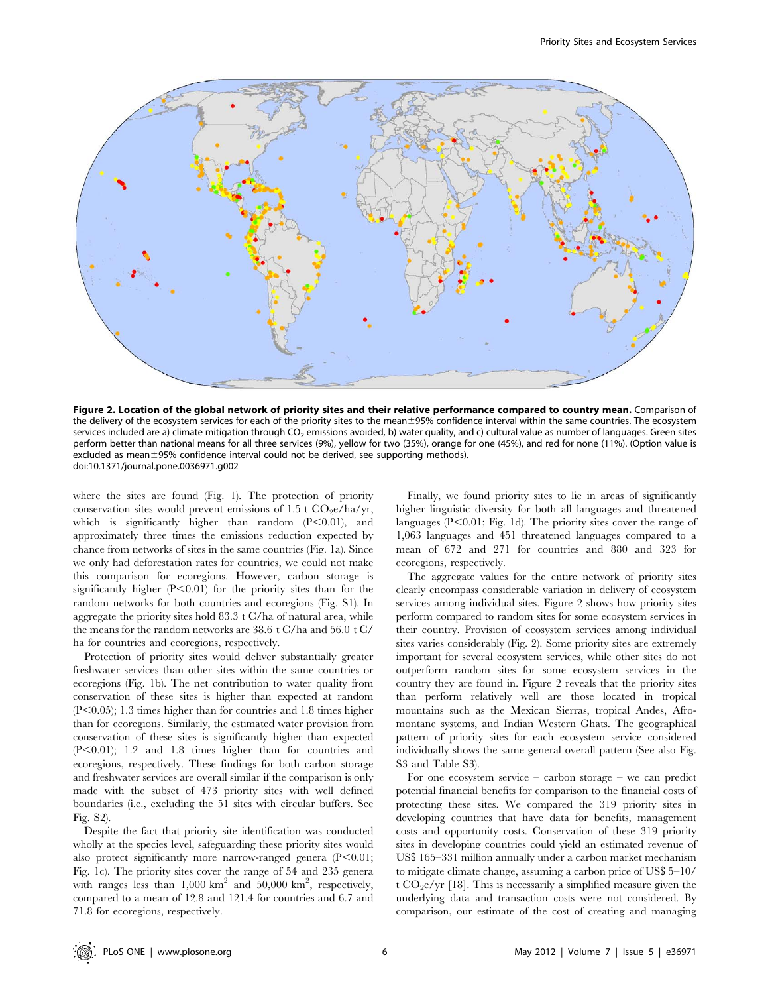

Figure 2. Location of the global network of priority sites and their relative performance compared to country mean. Comparison of the delivery of the ecosystem services for each of the priority sites to the mean±95% confidence interval within the same countries. The ecosystem services included are a) climate mitigation through CO<sub>2</sub> emissions avoided, b) water quality, and c) cultural value as number of languages. Green sites perform better than national means for all three services (9%), yellow for two (35%), orange for one (45%), and red for none (11%). (Option value is excluded as mean $\pm$ 95% confidence interval could not be derived, see supporting methods). doi:10.1371/journal.pone.0036971.g002

where the sites are found (Fig. 1). The protection of priority conservation sites would prevent emissions of 1.5 t  $CO<sub>2</sub>e/ha/yr$ , which is significantly higher than random  $(P<0.01)$ , and approximately three times the emissions reduction expected by chance from networks of sites in the same countries (Fig. 1a). Since we only had deforestation rates for countries, we could not make this comparison for ecoregions. However, carbon storage is significantly higher  $(P<0.01)$  for the priority sites than for the random networks for both countries and ecoregions (Fig. S1). In aggregate the priority sites hold 83.3 t C/ha of natural area, while the means for the random networks are 38.6 t C/ha and 56.0 t C/ ha for countries and ecoregions, respectively.

Protection of priority sites would deliver substantially greater freshwater services than other sites within the same countries or ecoregions (Fig. 1b). The net contribution to water quality from conservation of these sites is higher than expected at random  $(P<0.05)$ ; 1.3 times higher than for countries and 1.8 times higher than for ecoregions. Similarly, the estimated water provision from conservation of these sites is significantly higher than expected  $(P<0.01)$ ; 1.2 and 1.8 times higher than for countries and ecoregions, respectively. These findings for both carbon storage and freshwater services are overall similar if the comparison is only made with the subset of 473 priority sites with well defined boundaries (i.e., excluding the 51 sites with circular buffers. See Fig. S2).

Despite the fact that priority site identification was conducted wholly at the species level, safeguarding these priority sites would also protect significantly more narrow-ranged genera  $(P<0.01;$ Fig. 1c). The priority sites cover the range of 54 and 235 genera with ranges less than  $1,000 \text{ km}^2$  and  $50,000 \text{ km}^2$ , respectively, compared to a mean of 12.8 and 121.4 for countries and 6.7 and 71.8 for ecoregions, respectively.

Finally, we found priority sites to lie in areas of significantly higher linguistic diversity for both all languages and threatened languages  $(P<0.01$ ; Fig. 1d). The priority sites cover the range of 1,063 languages and 451 threatened languages compared to a mean of 672 and 271 for countries and 880 and 323 for ecoregions, respectively.

The aggregate values for the entire network of priority sites clearly encompass considerable variation in delivery of ecosystem services among individual sites. Figure 2 shows how priority sites perform compared to random sites for some ecosystem services in their country. Provision of ecosystem services among individual sites varies considerably (Fig. 2). Some priority sites are extremely important for several ecosystem services, while other sites do not outperform random sites for some ecosystem services in the country they are found in. Figure 2 reveals that the priority sites than perform relatively well are those located in tropical mountains such as the Mexican Sierras, tropical Andes, Afromontane systems, and Indian Western Ghats. The geographical pattern of priority sites for each ecosystem service considered individually shows the same general overall pattern (See also Fig. S3 and Table S3).

For one ecosystem service – carbon storage – we can predict potential financial benefits for comparison to the financial costs of protecting these sites. We compared the 319 priority sites in developing countries that have data for benefits, management costs and opportunity costs. Conservation of these 319 priority sites in developing countries could yield an estimated revenue of US\$ 165–331 million annually under a carbon market mechanism to mitigate climate change, assuming a carbon price of US\$ 5–10/ t  $CO<sub>2</sub>e/yr$  [18]. This is necessarily a simplified measure given the underlying data and transaction costs were not considered. By comparison, our estimate of the cost of creating and managing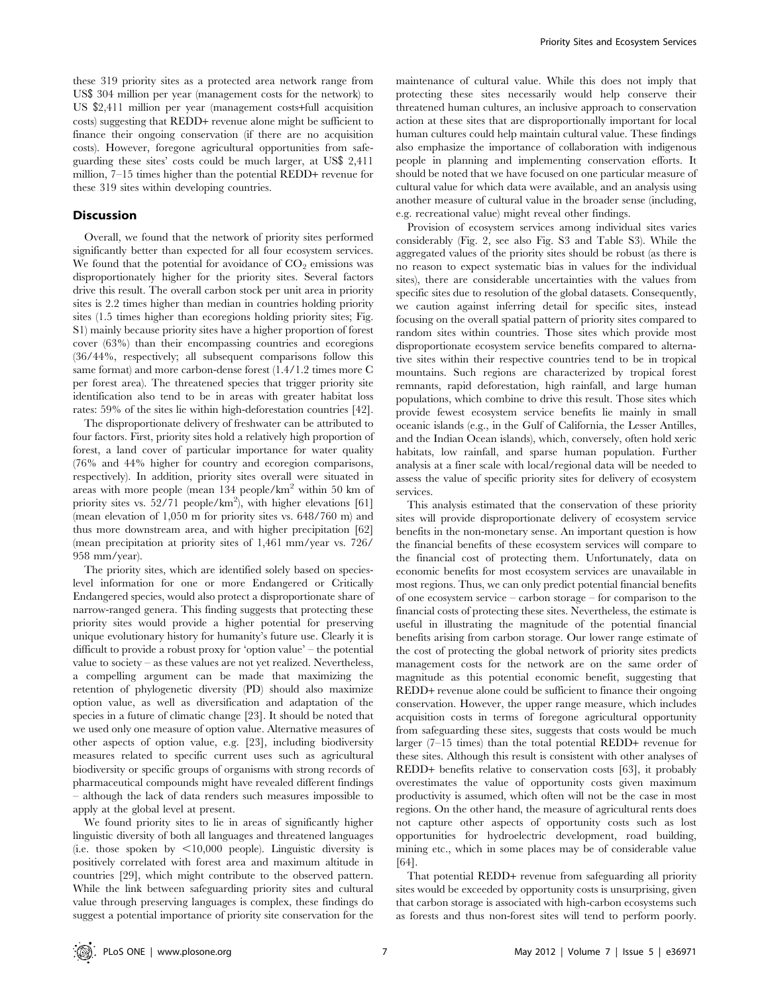these 319 priority sites as a protected area network range from US\$ 304 million per year (management costs for the network) to US \$2,411 million per year (management costs+full acquisition costs) suggesting that REDD+ revenue alone might be sufficient to finance their ongoing conservation (if there are no acquisition costs). However, foregone agricultural opportunities from safeguarding these sites' costs could be much larger, at US\$ 2,411 million, 7–15 times higher than the potential REDD+ revenue for these 319 sites within developing countries.

## Discussion

Overall, we found that the network of priority sites performed significantly better than expected for all four ecosystem services. We found that the potential for avoidance of  $CO<sub>2</sub>$  emissions was disproportionately higher for the priority sites. Several factors drive this result. The overall carbon stock per unit area in priority sites is 2.2 times higher than median in countries holding priority sites (1.5 times higher than ecoregions holding priority sites; Fig. S1) mainly because priority sites have a higher proportion of forest cover (63%) than their encompassing countries and ecoregions (36/44%, respectively; all subsequent comparisons follow this same format) and more carbon-dense forest (1.4/1.2 times more C per forest area). The threatened species that trigger priority site identification also tend to be in areas with greater habitat loss rates: 59% of the sites lie within high-deforestation countries [42].

The disproportionate delivery of freshwater can be attributed to four factors. First, priority sites hold a relatively high proportion of forest, a land cover of particular importance for water quality (76% and 44% higher for country and ecoregion comparisons, respectively). In addition, priority sites overall were situated in areas with more people (mean  $134$  people/km<sup>2</sup> within 50 km of priority sites vs.  $52/71$  people/km<sup>2</sup>), with higher elevations [61] (mean elevation of 1,050 m for priority sites vs. 648/760 m) and thus more downstream area, and with higher precipitation [62] (mean precipitation at priority sites of 1,461 mm/year vs. 726/ 958 mm/year).

The priority sites, which are identified solely based on specieslevel information for one or more Endangered or Critically Endangered species, would also protect a disproportionate share of narrow-ranged genera. This finding suggests that protecting these priority sites would provide a higher potential for preserving unique evolutionary history for humanity's future use. Clearly it is difficult to provide a robust proxy for 'option value' – the potential value to society – as these values are not yet realized. Nevertheless, a compelling argument can be made that maximizing the retention of phylogenetic diversity (PD) should also maximize option value, as well as diversification and adaptation of the species in a future of climatic change [23]. It should be noted that we used only one measure of option value. Alternative measures of other aspects of option value, e.g. [23], including biodiversity measures related to specific current uses such as agricultural biodiversity or specific groups of organisms with strong records of pharmaceutical compounds might have revealed different findings – although the lack of data renders such measures impossible to apply at the global level at present.

We found priority sites to lie in areas of significantly higher linguistic diversity of both all languages and threatened languages (i.e. those spoken by  $\leq 10,000$  people). Linguistic diversity is positively correlated with forest area and maximum altitude in countries [29], which might contribute to the observed pattern. While the link between safeguarding priority sites and cultural value through preserving languages is complex, these findings do suggest a potential importance of priority site conservation for the

maintenance of cultural value. While this does not imply that protecting these sites necessarily would help conserve their threatened human cultures, an inclusive approach to conservation action at these sites that are disproportionally important for local human cultures could help maintain cultural value. These findings also emphasize the importance of collaboration with indigenous people in planning and implementing conservation efforts. It should be noted that we have focused on one particular measure of cultural value for which data were available, and an analysis using another measure of cultural value in the broader sense (including, e.g. recreational value) might reveal other findings.

Provision of ecosystem services among individual sites varies considerably (Fig. 2, see also Fig. S3 and Table S3). While the aggregated values of the priority sites should be robust (as there is no reason to expect systematic bias in values for the individual sites), there are considerable uncertainties with the values from specific sites due to resolution of the global datasets. Consequently, we caution against inferring detail for specific sites, instead focusing on the overall spatial pattern of priority sites compared to random sites within countries. Those sites which provide most disproportionate ecosystem service benefits compared to alternative sites within their respective countries tend to be in tropical mountains. Such regions are characterized by tropical forest remnants, rapid deforestation, high rainfall, and large human populations, which combine to drive this result. Those sites which provide fewest ecosystem service benefits lie mainly in small oceanic islands (e.g., in the Gulf of California, the Lesser Antilles, and the Indian Ocean islands), which, conversely, often hold xeric habitats, low rainfall, and sparse human population. Further analysis at a finer scale with local/regional data will be needed to assess the value of specific priority sites for delivery of ecosystem services.

This analysis estimated that the conservation of these priority sites will provide disproportionate delivery of ecosystem service benefits in the non-monetary sense. An important question is how the financial benefits of these ecosystem services will compare to the financial cost of protecting them. Unfortunately, data on economic benefits for most ecosystem services are unavailable in most regions. Thus, we can only predict potential financial benefits of one ecosystem service – carbon storage – for comparison to the financial costs of protecting these sites. Nevertheless, the estimate is useful in illustrating the magnitude of the potential financial benefits arising from carbon storage. Our lower range estimate of the cost of protecting the global network of priority sites predicts management costs for the network are on the same order of magnitude as this potential economic benefit, suggesting that REDD+ revenue alone could be sufficient to finance their ongoing conservation. However, the upper range measure, which includes acquisition costs in terms of foregone agricultural opportunity from safeguarding these sites, suggests that costs would be much larger (7–15 times) than the total potential REDD+ revenue for these sites. Although this result is consistent with other analyses of REDD+ benefits relative to conservation costs [63], it probably overestimates the value of opportunity costs given maximum productivity is assumed, which often will not be the case in most regions. On the other hand, the measure of agricultural rents does not capture other aspects of opportunity costs such as lost opportunities for hydroelectric development, road building, mining etc., which in some places may be of considerable value [64].

That potential REDD+ revenue from safeguarding all priority sites would be exceeded by opportunity costs is unsurprising, given that carbon storage is associated with high-carbon ecosystems such as forests and thus non-forest sites will tend to perform poorly.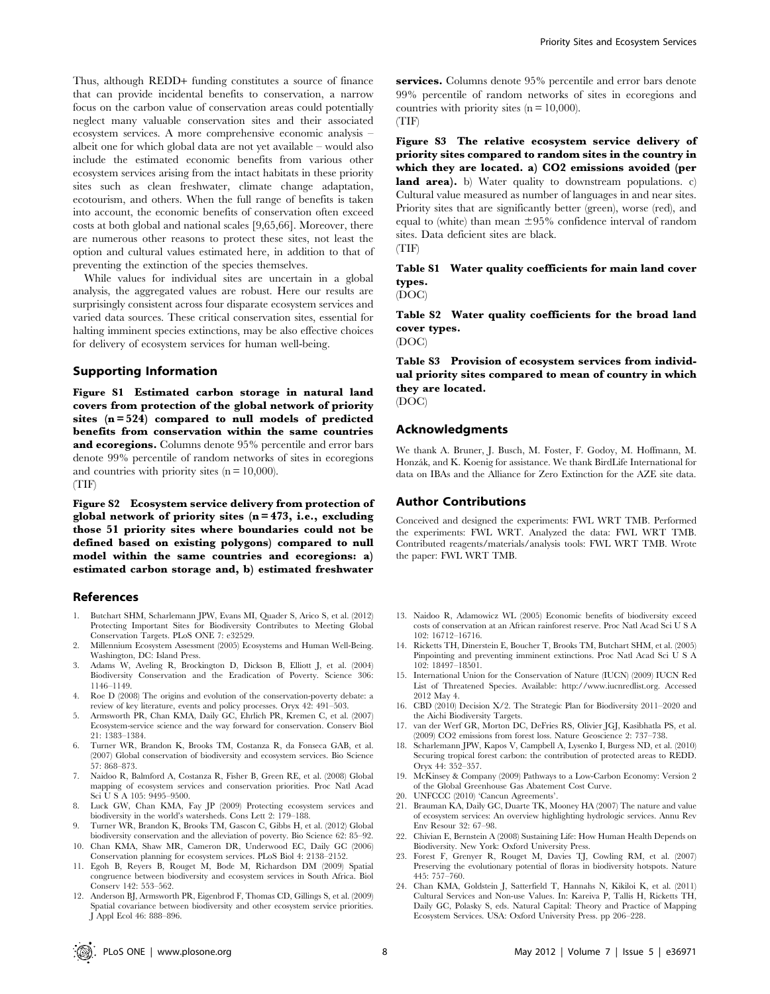Thus, although REDD+ funding constitutes a source of finance that can provide incidental benefits to conservation, a narrow focus on the carbon value of conservation areas could potentially neglect many valuable conservation sites and their associated ecosystem services. A more comprehensive economic analysis – albeit one for which global data are not yet available – would also include the estimated economic benefits from various other ecosystem services arising from the intact habitats in these priority sites such as clean freshwater, climate change adaptation, ecotourism, and others. When the full range of benefits is taken into account, the economic benefits of conservation often exceed costs at both global and national scales [9,65,66]. Moreover, there are numerous other reasons to protect these sites, not least the option and cultural values estimated here, in addition to that of preventing the extinction of the species themselves.

While values for individual sites are uncertain in a global analysis, the aggregated values are robust. Here our results are surprisingly consistent across four disparate ecosystem services and varied data sources. These critical conservation sites, essential for halting imminent species extinctions, may be also effective choices for delivery of ecosystem services for human well-being.

## Supporting Information

Figure S1 Estimated carbon storage in natural land covers from protection of the global network of priority sites  $(n = 524)$  compared to null models of predicted benefits from conservation within the same countries and ecoregions. Columns denote 95% percentile and error bars denote 99% percentile of random networks of sites in ecoregions and countries with priority sites  $(n = 10,000)$ . (TIF)

Figure S2 Ecosystem service delivery from protection of global network of priority sites (n = 473, i.e., excluding those 51 priority sites where boundaries could not be defined based on existing polygons) compared to null model within the same countries and ecoregions: a) estimated carbon storage and, b) estimated freshwater

#### References

- Butchart SHM, Scharlemann JPW, Evans MI, Quader S, Arico S, et al. (2012) Protecting Important Sites for Biodiversity Contributes to Meeting Global Conservation Targets. PLoS ONE 7: e32529.
- 2. Millennium Ecosystem Assessment (2005) Ecosystems and Human Well-Being. Washington, DC: Island Press.
- 3. Adams W, Aveling R, Brockington D, Dickson B, Elliott J, et al. (2004) Biodiversity Conservation and the Eradication of Poverty. Science 306: 1146–1149.
- Roe D (2008) The origins and evolution of the conservation-poverty debate: a review of key literature, events and policy processes. Oryx 42: 491–503.
- 5. Armsworth PR, Chan KMA, Daily GC, Ehrlich PR, Kremen C, et al. (2007) Ecosystem-service science and the way forward for conservation. Conserv Biol 21: 1383–1384.
- 6. Turner WR, Brandon K, Brooks TM, Costanza R, da Fonseca GAB, et al. (2007) Global conservation of biodiversity and ecosystem services. Bio Science 57: 868–873.
- 7. Naidoo R, Balmford A, Costanza R, Fisher B, Green RE, et al. (2008) Global mapping of ecosystem services and conservation priorities. Proc Natl Acad Sci U S A 105: 9495–9500.
- 8. Luck GW, Chan KMA, Fay JP (2009) Protecting ecosystem services and biodiversity in the world's watersheds. Cons Lett 2: 179–188.
- 9. Turner WR, Brandon K, Brooks TM, Gascon C, Gibbs H, et al. (2012) Global biodiversity conservation and the alleviation of poverty. Bio Science 62: 85–92. 10. Chan KMA, Shaw MR, Cameron DR, Underwood EC, Daily GC (2006)

congruence between biodiversity and ecosystem services in South Africa. Biol Conserv 142: 553–562.

12. Anderson BJ, Armsworth PR, Eigenbrod F, Thomas CD, Gillings S, et al. (2009) Spatial covariance between biodiversity and other ecosystem service priorities. J Appl Ecol 46: 888–896.

services. Columns denote 95% percentile and error bars denote 99% percentile of random networks of sites in ecoregions and countries with priority sites  $(n = 10,000)$ . (TIF)

Figure S3 The relative ecosystem service delivery of priority sites compared to random sites in the country in which they are located. a) CO2 emissions avoided (per land area). b) Water quality to downstream populations. c) Cultural value measured as number of languages in and near sites. Priority sites that are significantly better (green), worse (red), and equal to (white) than mean  $\pm 95\%$  confidence interval of random sites. Data deficient sites are black.

(TIF)

## Table S1 Water quality coefficients for main land cover types.

(DOC)

Table S2 Water quality coefficients for the broad land cover types. (DOC)

Table S3 Provision of ecosystem services from individual priority sites compared to mean of country in which they are located.

(DOC)

## Acknowledgments

We thank A. Bruner, J. Busch, M. Foster, F. Godoy, M. Hoffmann, M. Honzák, and K. Koenig for assistance. We thank BirdLife International for data on IBAs and the Alliance for Zero Extinction for the AZE site data.

#### Author Contributions

Conceived and designed the experiments: FWL WRT TMB. Performed the experiments: FWL WRT. Analyzed the data: FWL WRT TMB. Contributed reagents/materials/analysis tools: FWL WRT TMB. Wrote the paper: FWL WRT TMB.

- 13. Naidoo R, Adamowicz WL (2005) Economic benefits of biodiversity exceed costs of conservation at an African rainforest reserve. Proc Natl Acad Sci U S A 102: 16712–16716.
- 14. Ricketts TH, Dinerstein E, Boucher T, Brooks TM, Butchart SHM, et al. (2005) Pinpointing and preventing imminent extinctions. Proc Natl Acad Sci U S A 102: 18497–18501.
- 15. International Union for the Conservation of Nature (IUCN) (2009) IUCN Red List of Threatened Species. Available: http://www.iucnredlist.org. Accessed 2012 May 4.
- 16. CBD (2010) Decision X/2. The Strategic Plan for Biodiversity 2011–2020 and the Aichi Biodiversity Targets.
- 17. van der Werf GR, Morton DC, DeFries RS, Olivier JGJ, Kasibhatla PS, et al. (2009) CO2 emissions from forest loss. Nature Geoscience 2: 737–738.
- 18. Scharlemann JPW, Kapos V, Campbell A, Lysenko I, Burgess ND, et al. (2010) Securing tropical forest carbon: the contribution of protected areas to REDD. Oryx 44: 352–357.
- 19. McKinsey & Company (2009) Pathways to a Low-Carbon Economy: Version 2 of the Global Greenhouse Gas Abatement Cost Curve.
- 20. UNFCCC (2010) 'Cancun Agreements'.
- 21. Brauman KA, Daily GC, Duarte TK, Mooney HA (2007) The nature and value of ecosystem services: An overview highlighting hydrologic services. Annu Rev Env Resour 32: 67–98.
- 22. Chivian E, Bernstein A (2008) Sustaining Life: How Human Health Depends on Biodiversity. New York: Oxford University Press.
- 23. Forest F, Grenyer R, Rouget M, Davies TJ, Cowling RM, et al. (2007) Preserving the evolutionary potential of floras in biodiversity hotspots. Nature 445: 757–760.
- 24. Chan KMA, Goldstein J, Satterfield T, Hannahs N, Kikiloi K, et al. (2011) Cultural Services and Non-use Values. In: Kareiva P, Tallis H, Ricketts TH, Daily GC, Polasky S, eds. Natural Capital: Theory and Practice of Mapping Ecosystem Services. USA: Oxford University Press. pp 206–228.